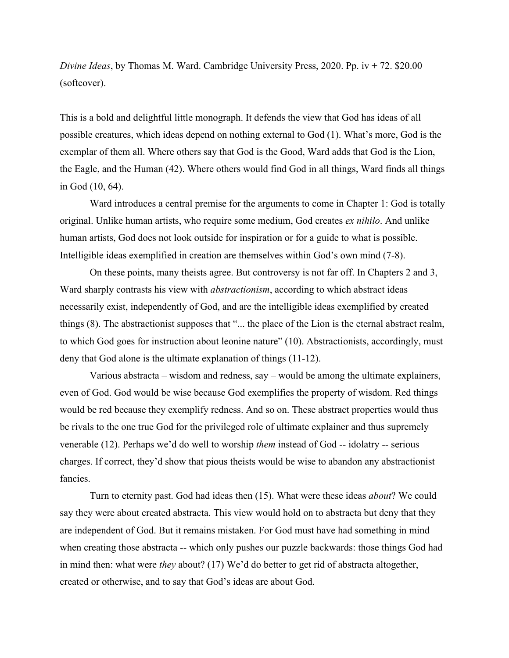*Divine Ideas*, by Thomas M. Ward. Cambridge University Press, 2020. Pp. iv + 72. \$20.00 (softcover).

This is a bold and delightful little monograph. It defends the view that God has ideas of all possible creatures, which ideas depend on nothing external to God (1). What's more, God is the exemplar of them all. Where others say that God is the Good, Ward adds that God is the Lion, the Eagle, and the Human (42). Where others would find God in all things, Ward finds all things in God (10, 64).

Ward introduces a central premise for the arguments to come in Chapter 1: God is totally original. Unlike human artists, who require some medium, God creates *ex nihilo*. And unlike human artists, God does not look outside for inspiration or for a guide to what is possible. Intelligible ideas exemplified in creation are themselves within God's own mind (7-8).

On these points, many theists agree. But controversy is not far off. In Chapters 2 and 3, Ward sharply contrasts his view with *abstractionism*, according to which abstract ideas necessarily exist, independently of God, and are the intelligible ideas exemplified by created things (8). The abstractionist supposes that "... the place of the Lion is the eternal abstract realm, to which God goes for instruction about leonine nature" (10). Abstractionists, accordingly, must deny that God alone is the ultimate explanation of things (11-12).

Various abstracta – wisdom and redness, say – would be among the ultimate explainers, even of God. God would be wise because God exemplifies the property of wisdom. Red things would be red because they exemplify redness. And so on. These abstract properties would thus be rivals to the one true God for the privileged role of ultimate explainer and thus supremely venerable (12). Perhaps we'd do well to worship *them* instead of God -- idolatry -- serious charges. If correct, they'd show that pious theists would be wise to abandon any abstractionist fancies.

Turn to eternity past. God had ideas then (15). What were these ideas *about*? We could say they were about created abstracta. This view would hold on to abstracta but deny that they are independent of God. But it remains mistaken. For God must have had something in mind when creating those abstracta -- which only pushes our puzzle backwards: those things God had in mind then: what were *they* about? (17) We'd do better to get rid of abstracta altogether, created or otherwise, and to say that God's ideas are about God.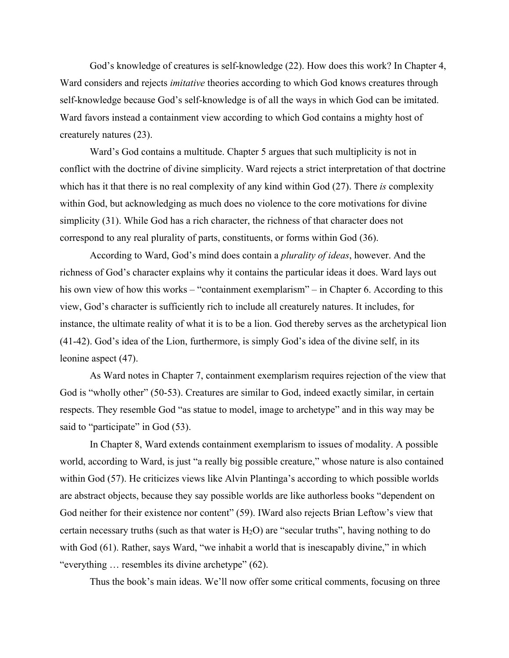God's knowledge of creatures is self-knowledge (22). How does this work? In Chapter 4, Ward considers and rejects *imitative* theories according to which God knows creatures through self-knowledge because God's self-knowledge is of all the ways in which God can be imitated. Ward favors instead a containment view according to which God contains a mighty host of creaturely natures (23).

Ward's God contains a multitude. Chapter 5 argues that such multiplicity is not in conflict with the doctrine of divine simplicity. Ward rejects a strict interpretation of that doctrine which has it that there is no real complexity of any kind within God (27). There *is* complexity within God, but acknowledging as much does no violence to the core motivations for divine simplicity (31). While God has a rich character, the richness of that character does not correspond to any real plurality of parts, constituents, or forms within God (36).

According to Ward, God's mind does contain a *plurality of ideas*, however. And the richness of God's character explains why it contains the particular ideas it does. Ward lays out his own view of how this works – "containment exemplarism" – in Chapter 6. According to this view, God's character is sufficiently rich to include all creaturely natures. It includes, for instance, the ultimate reality of what it is to be a lion. God thereby serves as the archetypical lion (41-42). God's idea of the Lion, furthermore, is simply God's idea of the divine self, in its leonine aspect (47).

 As Ward notes in Chapter 7, containment exemplarism requires rejection of the view that God is "wholly other" (50-53). Creatures are similar to God, indeed exactly similar, in certain respects. They resemble God "as statue to model, image to archetype" and in this way may be said to "participate" in God (53).

 In Chapter 8, Ward extends containment exemplarism to issues of modality. A possible world, according to Ward, is just "a really big possible creature," whose nature is also contained within God (57). He criticizes views like Alvin Plantinga's according to which possible worlds are abstract objects, because they say possible worlds are like authorless books "dependent on God neither for their existence nor content" (59). IWard also rejects Brian Leftow's view that certain necessary truths (such as that water is  $H_2O$ ) are "secular truths", having nothing to do with God (61). Rather, says Ward, "we inhabit a world that is inescapably divine," in which "everything … resembles its divine archetype" (62).

Thus the book's main ideas. We'll now offer some critical comments, focusing on three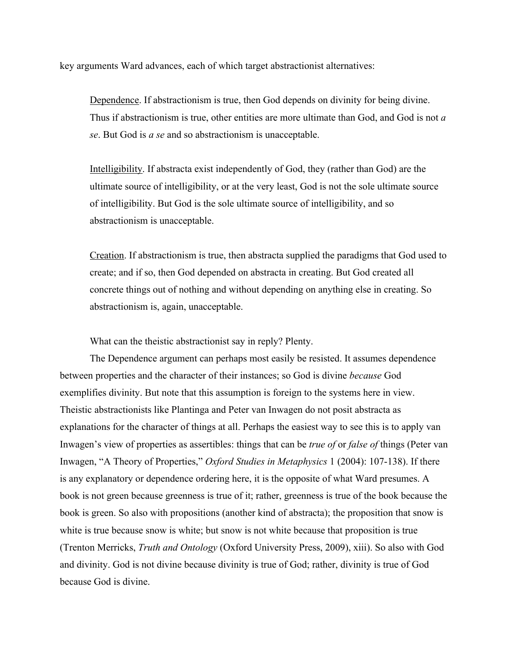key arguments Ward advances, each of which target abstractionist alternatives:

Dependence. If abstractionism is true, then God depends on divinity for being divine. Thus if abstractionism is true, other entities are more ultimate than God, and God is not *a se*. But God is *a se* and so abstractionism is unacceptable.

Intelligibility. If abstracta exist independently of God, they (rather than God) are the ultimate source of intelligibility, or at the very least, God is not the sole ultimate source of intelligibility. But God is the sole ultimate source of intelligibility, and so abstractionism is unacceptable.

Creation. If abstractionism is true, then abstracta supplied the paradigms that God used to create; and if so, then God depended on abstracta in creating. But God created all concrete things out of nothing and without depending on anything else in creating. So abstractionism is, again, unacceptable.

What can the theistic abstractionist say in reply? Plenty.

The Dependence argument can perhaps most easily be resisted. It assumes dependence between properties and the character of their instances; so God is divine *because* God exemplifies divinity. But note that this assumption is foreign to the systems here in view. Theistic abstractionists like Plantinga and Peter van Inwagen do not posit abstracta as explanations for the character of things at all. Perhaps the easiest way to see this is to apply van Inwagen's view of properties as assertibles: things that can be *true of* or *false of* things (Peter van Inwagen, "A Theory of Properties," *Oxford Studies in Metaphysics* 1 (2004): 107-138). If there is any explanatory or dependence ordering here, it is the opposite of what Ward presumes. A book is not green because greenness is true of it; rather, greenness is true of the book because the book is green. So also with propositions (another kind of abstracta); the proposition that snow is white is true because snow is white; but snow is not white because that proposition is true (Trenton Merricks, *Truth and Ontology* (Oxford University Press, 2009), xiii). So also with God and divinity. God is not divine because divinity is true of God; rather, divinity is true of God because God is divine.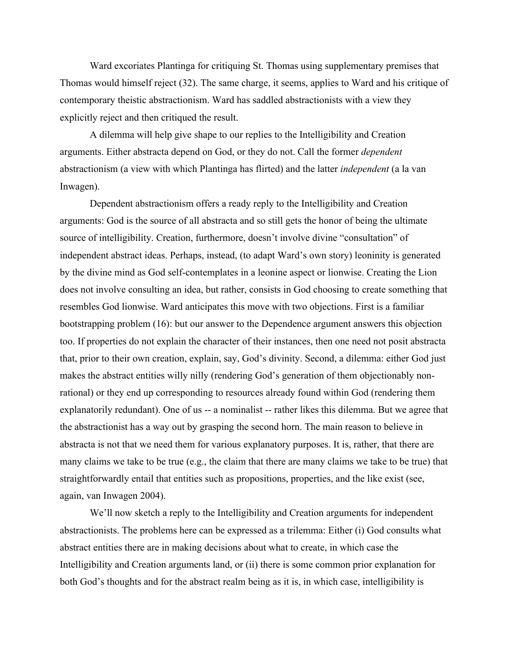Ward excoriates Plantinga for critiquing St. Thomas using supplementary premises that Thomas would himself reject (32). The same charge, it seems, applies to Ward and his critique of contemporary theistic abstractionism. Ward has saddled abstractionists with a view they explicitly reject and then critiqued the result.

A dilemma will help give shape to our replies to the Intelligibility and Creation arguments. Either abstracta depend on God, or they do not. Call the former *dependent* abstractionism (a view with which Plantinga has flirted) and the latter *independent* (a la van Inwagen).

Dependent abstractionism offers a ready reply to the Intelligibility and Creation arguments: God is the source of all abstracta and so still gets the honor of being the ultimate source of intelligibility. Creation, furthermore, doesn't involve divine "consultation" of independent abstract ideas. Perhaps, instead, (to adapt Ward's own story) leoninity is generated by the divine mind as God self-contemplates in a leonine aspect or lionwise. Creating the Lion does not involve consulting an idea, but rather, consists in God choosing to create something that resembles God lionwise. Ward anticipates this move with two objections. First is a familiar bootstrapping problem (16): but our answer to the Dependence argument answers this objection too. If properties do not explain the character of their instances, then one need not posit abstracta that, prior to their own creation, explain, say, God's divinity. Second, a dilemma: either God just makes the abstract entities willy nilly (rendering God's generation of them objectionably nonrational) or they end up corresponding to resources already found within God (rendering them explanatorily redundant). One of us -- a nominalist -- rather likes this dilemma. But we agree that the abstractionist has a way out by grasping the second horn. The main reason to believe in abstracta is not that we need them for various explanatory purposes. It is, rather, that there are many claims we take to be true (e.g., the claim that there are many claims we take to be true) that straightforwardly entail that entities such as propositions, properties, and the like exist (see, again, van Inwagen 2004).

We'll now sketch a reply to the Intelligibility and Creation arguments for independent abstractionists. The problems here can be expressed as a trilemma: Either (i) God consults what abstract entities there are in making decisions about what to create, in which case the Intelligibility and Creation arguments land, or (ii) there is some common prior explanation for both God's thoughts and for the abstract realm being as it is, in which case, intelligibility is